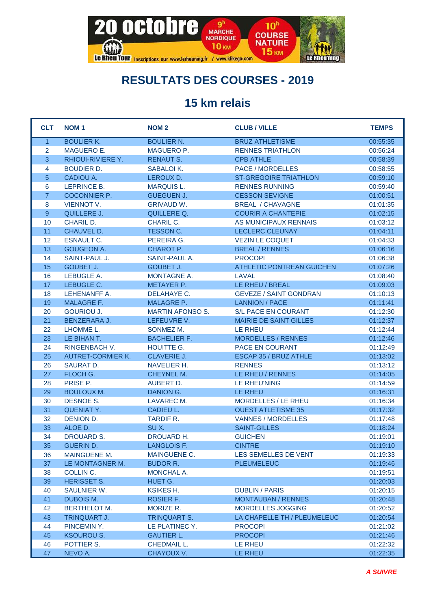

## **RESULTATS DES COURSES - 2019**

## **15 km relais**

| <b>CLT</b>     | <b>NOM1</b>              | <b>NOM2</b>             | <b>CLUB / VILLE</b>              | <b>TEMPS</b> |
|----------------|--------------------------|-------------------------|----------------------------------|--------------|
| $\mathbf{1}$   | <b>BOULIER K.</b>        | <b>BOULIER N.</b>       | <b>BRUZ ATHLETISME</b>           | 00:55:35     |
| 2              | MAGUERO E.               | MAGUERO P.              | <b>RENNES TRIATHLON</b>          | 00:56:24     |
| $\overline{3}$ | <b>RHIOUI-RIVIERE Y.</b> | <b>RENAUT S.</b>        | <b>CPB ATHLE</b>                 | 00:58:39     |
| 4              | <b>BOUDIER D.</b>        | SABALOI K.              | <b>PACE / MORDELLES</b>          | 00:58:55     |
| 5              | CADIOU A.                | LEROUX D.               | <b>ST-GREGOIRE TRIATHLON</b>     | 00:59:10     |
| 6              | LEPRINCE B.              | <b>MARQUIS L.</b>       | <b>RENNES RUNNING</b>            | 00:59:40     |
| $\overline{7}$ | <b>COCONNIER P.</b>      | <b>GUEGUEN J.</b>       | <b>CESSON SEVIGNE</b>            | 01:00:51     |
| 8              | <b>VIENNOT V.</b>        | <b>GRIVAUD W.</b>       | <b>BREAL / CHAVAGNE</b>          | 01:01:35     |
| 9              | QUILLERE J.              | QUILLERE Q.             | <b>COURIR A CHANTEPIE</b>        | 01:02:15     |
| 10             | <b>CHARIL D.</b>         | CHARIL C.               | AS MUNICIPAUX RENNAIS            | 01:03:12     |
| 11             | CHAUVEL D.               | TESSON C.               | LECLERC CLEUNAY                  | 01:04:11     |
| 12             | <b>ESNAULT C.</b>        | PEREIRA G.              | <b>VEZIN LE COQUET</b>           | 01:04:33     |
| 13             | <b>GOUGEON A.</b>        | CHAROT P.               | <b>BREAL / RENNES</b>            | 01:06:16     |
| 14             | SAINT-PAUL J.            | SAINT-PAUL A.           | <b>PROCOPI</b>                   | 01:06:38     |
| 15             | <b>GOUBET J.</b>         | <b>GOUBET J.</b>        | <b>ATHLETIC PONTREAN GUICHEN</b> | 01:07:26     |
| 16             | LEBUGLE A.               | <b>MONTAGNE A.</b>      | LAVAL                            | 01:08:40     |
| 17             | LEBUGLE C.               | <b>METAYER P.</b>       | LE RHEU / BREAL                  | 01:09:03     |
| 18             | LEHENANFF A.             | DELAHAYE C.             | <b>GEVEZE / SAINT GONDRAN</b>    | 01:10:13     |
| 19             | <b>MALAGRE F.</b>        | <b>MALAGRE P.</b>       | <b>LANNION / PACE</b>            | 01:11:41     |
| 20             | <b>GOURIOU J.</b>        | <b>MARTIN AFONSO S.</b> | S/L PACE EN COURANT              | 01:12:30     |
| 21             | <b>BENZERARA J.</b>      | LEFEUVRE V.             | <b>MAIRIE DE SAINT GILLES</b>    | 01:12:37     |
| 22             | LHOMME L.                | SONMEZ M.               | <b>LE RHEU</b>                   | 01:12:44     |
| 23             | LE BIHAN T.              | <b>BACHELIER F.</b>     | <b>MORDELLES / RENNES</b>        | 01:12:46     |
| 24             | <b>RINGENBACH V.</b>     | HOUITTE G.              | PACE EN COURANT                  | 01:12:49     |
| 25             | <b>AUTRET-CORMIER K.</b> | <b>CLAVERIE J.</b>      | ESCAP 35 / BRUZ ATHLE            | 01:13:02     |
| 26             | <b>SAURAT D.</b>         | NAVELIER H.             | <b>RENNES</b>                    | 01:13:12     |
| 27             | FLOCH G.                 | CHEYNEL M.              | LE RHEU / RENNES                 | 01:14:05     |
| 28             | PRISE P.                 | <b>AUBERT D.</b>        | LE RHEU'NING                     | 01:14:59     |
| 29             | <b>BOULOUX M.</b>        | DANION G.               | LE RHEU                          | 01:16:31     |
| 30             | <b>DESNOE S.</b>         | <b>LAVAREC M.</b>       | MORDELLES / LE RHEU              | 01:16:34     |
| 31             | <b>QUENIAT Y.</b>        | <b>CADIEU L.</b>        | <b>OUEST ATLETISME 35</b>        | 01:17:32     |
| 32             | DENION D.                | <b>TARDIF R.</b>        | VANNES / MORDELLES               | 01:17:48     |
| 33             | ALOE D.                  | SUX.                    | <b>SAINT-GILLES</b>              | 01:18:24     |
| 34             | <b>DROUARD S.</b>        | DROUARD H.              | <b>GUICHEN</b>                   | 01:19:01     |
| 35             | <b>GUERIN D.</b>         | <b>LANGLOIS F.</b>      | <b>CINTRE</b>                    | 01:19:10     |
| 36             | <b>MAINGUENE M.</b>      | MAINGUENE C.            | LES SEMELLES DE VENT             | 01:19:33     |
| 37             | LE MONTAGNER M.          | <b>BUDOR R.</b>         | <b>PLEUMELEUC</b>                | 01:19:46     |
| 38             | COLLIN C.                | MONCHAL A.              |                                  | 01:19:51     |
| 39             | <b>HERISSET S.</b>       | HUET G.                 |                                  | 01:20:03     |
| 40             | <b>SAULNIER W.</b>       | KSIKES H.               | <b>DUBLIN / PARIS</b>            | 01:20:15     |
| 41             | <b>DUBOIS M.</b>         | ROSIER F.               | <b>MONTAUBAN / RENNES</b>        | 01:20:48     |
| 42             | <b>BERTHELOT M.</b>      | MORIZE R.               | <b>MORDELLES JOGGING</b>         | 01:20:52     |
| 43             | <b>TRINQUART J.</b>      | <b>TRINQUART S.</b>     | LA CHAPELLE TH / PLEUMELEUC      | 01:20:54     |
| 44             | PINCEMIN Y.              | LE PLATINEC Y.          | <b>PROCOPI</b>                   | 01:21:02     |
| 45             | <b>KSOUROU S.</b>        | <b>GAUTIER L.</b>       | <b>PROCOPI</b>                   | 01:21:46     |
| 46             | POTTIER S.               | CHEDMAIL L.             | LE RHEU                          | 01:22:32     |
| 47             | NEVO A.                  | CHAYOUX V.              | LE RHEU                          | 01:22:35     |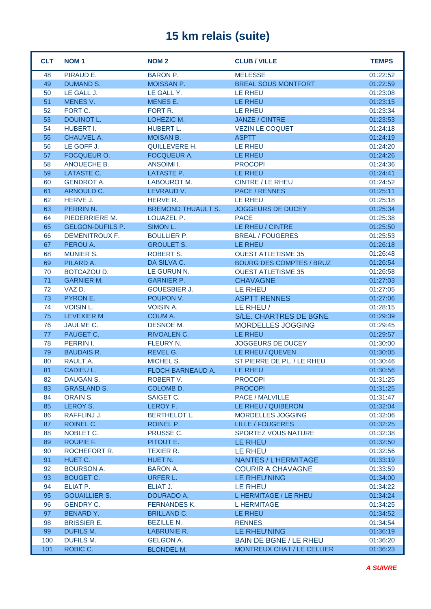## **15 km relais (suite)**

| <b>CLT</b> | <b>NOM1</b>             | <b>NOM2</b>               | <b>CLUB / VILLE</b>               | <b>TEMPS</b> |
|------------|-------------------------|---------------------------|-----------------------------------|--------------|
| 48         | PIRAUD E.               | <b>BARON P.</b>           | <b>MELESSE</b>                    | 01:22:52     |
| 49         | <b>DUMAND S.</b>        | MOISSAN P.                | <b>BREAL SOUS MONTFORT</b>        | 01:22:59     |
| 50         | LE GALL J.              | LE GALL Y.                | <b>LE RHEU</b>                    | 01:23:08     |
| 51         | MENES V.                | MENES E.                  | LE RHEU                           | 01:23:15     |
| 52         | FORT C.                 | FORT R.                   | LE RHEU                           | 01:23:34     |
| 53         | DOUINOT L.              | LOHEZIC M.                | <b>JANZE / CINTRE</b>             | 01:23:53     |
| 54         | HUBERT I.               | HUBERT L.                 | <b>VEZIN LE COQUET</b>            | 01:24:18     |
| 55         | CHAUVEL A.              | <b>MOISAN B.</b>          | <b>ASPTT</b>                      | 01:24:19     |
| 56         | LE GOFF J.              | <b>QUILLEVERE H.</b>      | LE RHEU                           | 01:24:20     |
| 57         | FOCQUEUR O.             | <b>FOCQUEUR A.</b>        | LE RHEU                           | 01:24:26     |
| 58         | ANOUECHE B.             | <b>ANSOIMI I.</b>         | <b>PROCOPI</b>                    | 01:24:36     |
| 59         | LATASTE C.              | LATASTE P.                | LE RHEU                           | 01:24:41     |
| 60         | <b>GENDROT A.</b>       | LABOUROT M.               | <b>CINTRE / LE RHEU</b>           | 01:24:52     |
| 61         | ARNOULD C.              | LEVRAUD V.                | <b>PACE / RENNES</b>              | 01:25:11     |
| 62         | HERVE J.                | HERVE R.                  | <b>LE RHEU</b>                    | 01:25:18     |
| 63         | PERRIN N.               | <b>BREMOND THUAULT S.</b> | <b>JOGGEURS DE DUCEY</b>          | 01:25:34     |
| 64         | PIEDERRIERE M.          | LOUAZEL P.                | <b>PACE</b>                       | 01:25:38     |
| 65         | <b>GELGON-DUFILS P.</b> | SIMON L.                  | LE RHEU / CINTRE                  | 01:25:50     |
| 66         | <b>DEMENITROUX F.</b>   | <b>BOULLIER P.</b>        | <b>BREAL / FOUGERES</b>           | 01:25:53     |
| 67         | PEROU A.                | <b>GROULET S.</b>         | LE RHEU                           | 01:26:18     |
| 68         | <b>MUNIER S.</b>        | <b>ROBERT S.</b>          | <b>OUEST ATLETISME 35</b>         | 01:26:48     |
| 69         | PILARD A.               | DA SILVA C.               | <b>BOURG DES COMPTES / BRUZ</b>   | 01:26:54     |
| 70         | BOTCAZOU D.             | LE GURUN N.               | <b>OUEST ATLETISME 35</b>         | 01:26:58     |
| 71         | <b>GARNIER M.</b>       | <b>GARNIER P.</b>         | <b>CHAVAGNE</b>                   | 01:27:03     |
| 72         | VAZ D.                  | <b>GOUESBIER J.</b>       | LE RHEU                           | 01:27:05     |
| 73         | PYRON E.                | POUPON V.                 | <b>ASPTT RENNES</b>               | 01:27:06     |
| 74         | <b>VOISIN L.</b>        | <b>VOISIN A.</b>          | LE RHEU /                         | 01:28:15     |
| 75         | LEVEXIER M.             | COUM A.                   | S/LE. CHARTRES DE BGNE            | 01:29:39     |
| 76         | JAULME C.               | DESNOE M.                 | MORDELLES JOGGING                 | 01:29:45     |
| 77         | PAUGET C.               | RIVOALEN C.               | <b>LE RHEU</b>                    | 01:29:57     |
| 78         | PERRIN I.               | FLEURY N.                 | <b>JOGGEURS DE DUCEY</b>          | 01:30:00     |
| 79         | <b>BAUDAIS R.</b>       | REVEL G.                  | LE RHEU / QUEVEN                  | 01:30:05     |
| 80         | RAULT A.                | MICHEL S.                 | ST PIERRE DE PL. / LE RHEU        | 01:30:46     |
| 81         | CADIEU L.               | FLOCH BARNEAUD A.         | LE RHEU                           | 01:30:56     |
| 82         | DAUGAN S.               | ROBERT V.                 | <b>PROCOPI</b>                    | 01:31:25     |
| 83         | <b>GRASLAND S.</b>      | COLOMB D.                 | <b>PROCOPI</b>                    | 01:31:25     |
| 84         | <b>ORAIN S.</b>         | SAIGET C.                 | PACE / MALVILLE                   | 01:31:47     |
| 85         | LEROY S.                | LEROY F.                  | LE RHEU / QUIBERON                | 01:32:04     |
| 86         | RAFFLINJ J.             | <b>BERTHELOT L.</b>       | MORDELLES JOGGING                 | 01:32:06     |
| 87         | ROINEL C.               | ROINEL P.                 | <b>LILLE / FOUGERES</b>           | 01:32:25     |
| 88         | NOBLET C.               | PRUSSE C.                 | <b>SPORTEZ VOUS NATURE</b>        | 01:32:38     |
| 89         | ROUPIE F.               | PITOUT E.                 | LE RHEU                           | 01:32:50     |
| 90         | ROCHEFORT R.            | <b>TEXIER R.</b>          | LE RHEU                           | 01:32:56     |
| 91         | HUET C.                 | HUET N.                   | NANTES / L'HERMITAGE              | 01:33:19     |
| 92         | <b>BOURSON A.</b>       | <b>BARON A.</b>           | <b>COURIR A CHAVAGNE</b>          | 01:33:59     |
| 93         | <b>BOUGET C.</b>        | URFER L.                  | LE RHEU'NING                      | 01:34:00     |
| 94         | ELIAT P.                | ELIAT J.                  | LE RHEU                           | 01:34:22     |
| 95         | <b>GOUAILLIER S.</b>    | DOURADO A.                | L HERMITAGE / LE RHEU             | 01:34:24     |
| 96         | <b>GENDRY C.</b>        | <b>FERNANDES K.</b>       | <b>L HERMITAGE</b>                | 01:34:25     |
| 97         | <b>BENARD Y.</b>        | <b>BRILLAND C.</b>        | LE RHEU                           | 01:34:52     |
| 98         | <b>BRISSIER E.</b>      | <b>BEZILLE N.</b>         | <b>RENNES</b>                     | 01:34:54     |
| 99         | DUFILS M.               | LABRUNIE R.               | LE RHEU'NING                      | 01:36:19     |
| 100        | DUFILS M.               | GELGON A.                 | <b>BAIN DE BGNE / LE RHEU</b>     | 01:36:20     |
| 101        | ROBIC C.                | <b>BLONDEL M.</b>         | <b>MONTREUX CHAT / LE CELLIER</b> | 01:36:23     |